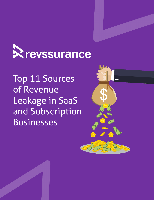

Top 11 Sources of Revenue Leakage in SaaS and Subscription Businesses

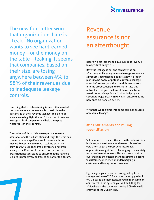

The new four letter word that organizations hate is "Leak." No organization wants to see hard-earned money—or the money on the table—leaking. It seems that companies, based on their size, are losing anywhere between 4% to 58% of their revenues due to inadequate leakage controls.

One thing that is disheartening to see is that most of the companies are not even able to articulate the percentage of their revenue leakage. This point of view aims to highlight the top 11 sources of revenue leakage in SaaS companies and help them plug whatever is in their control.

The authors of this article are experts in revenue assurance and the subscription industry. The team has created a beta-stage Revenue Assurance solution (named Revssurance) to reveal leaking areas and provide 100% visibility into a company's revenue leakage. The Revenue Assurance practice includes organizational consulting to ensure that the revenue leakage is proactively addressed as part of the design.

# Revenue assurance is not an afterthought

Before we get into the top 11 sources of revenue leakage, first thing's first:

Revenue leakage is not and can never be an afterthought. Plugging revenue leakage areas once a product is launched is a bad strategy. A proper plan is to be aware of potential revenue leakage areas beforehand, and then build those controls into the product design. We want to state this upfront so that you can look at this article from two different viewpoints – 1) How do I plug my current leakage areas? 2) How can I ensure that the new ones are handled better?

With that, we can jump into some common sources of revenue leakage.

#### **#1: Entitlements and billing reconciliation**

Self-service is a crucial attribute in the Subscription business, and customers tend to use this service very often to get the best benefits. Hence, organizations might find it challenging to accurately track service entitlements. This can result in either overcharging the customer and leading to a decline in customer experience or undercharging a customer and losing out on revenues.

E.g., Imagine your customer has signed up for a storage package of 2GB, and then later upgraded it to 3GB based on their usage. If you miss that minor adjustment in the system, you will be billing for 2GB, whereas the customer is using 3GB while still enjoying at the 2GB pricing.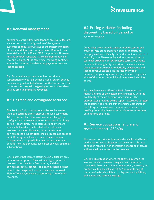## **Revssurance**

#### **#2: Renewal management**

Automatic Contract Renewal depends on several factors, such as the correct configuration of the system, customer configuration, status of the customer in terms of payment default and due, and so on. Renewal is an essential input for ARR and MRR computation. However, missing contract renewals is a considerable source of revenue leakage. At the same time, renewing contracts where the customer has defaulted payments can also lead to leakage.

E.g., Assume that your customer has cancelled a subscription for your on-demand video service, but your provisioning system failed to record the transaction. The customer then may still be getting access to the videos, but you aren't earning any revenues.

#### #3: Upgrade and downgrade accuracy

The SaaS and Subscription companies are known for their eye-catching offers/discounts to woo customers. Add to this the chaos that customers can change the configuration between quote to cash or within a billing period—at any time. These discounts and offers are applicable based on the level of subscription and services consumed. However, once the customer downgrades the subscription, the discounts also cease to exist. If the system does not record these frequent changes, there is a possibility that the customers can benefit from the discounts even after downgrading their subscriptions.

E.g., Imagine that you are offering a 20% discount on 5 or more subscriptions. The customer signs up for six licenses, uses them for a few months, and then downgrades it to 3 licenses. The billing system did not record this change, and no discounts were removed. Right off the bat, you would start losing 20% of your revenues.

#### #4: Pricing variables including discounting based on period or commitment

Companies often provide unstructured discounts and credit to increase subscription sales or to satisfy an unhappy customer. Usually, these discounts/credits have an expiry date. These credits and rebates, resulting in customer attraction or service issue correction, should have a limit or eligibility condition. In some instances, these discounts are not automatically deactivated and lead to revenue leakage. This is just one type of discount, but your organization might be offering other kinds of discounts too, which ultimately need visibility as well.

E.g., Imagine you've offered a 30% discount on the month's billing, as the customer was unhappy with the availability of the on-demand video service. The discount was provided by the support executive to retain the customer. This record either remains unchanged in the billing or the customer support executive missed marking the expiry date and results in revenue leakage until noticed and fixed.

#### #5: Service obligations failure and revenue impact- ASC606

The transaction price is determined and allocated based on the performance obligation of the contract. Service obligation failure or non-monitoring of a trend of failure will have a direct impact on the revenue.

E.g., This is a situation where the clients pay when the service standards are met. Imagine that the service standard is 99% availability of the product, however, the product could only achieve 98%. Non-monitoring of these service levels will lead to disputes during billing, and eventually, revenue leakage.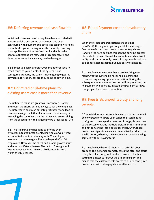

#### #6: Deferring revenue and cash flow hit

Individual customer records may have been provided with a preferential credit period or may not have been configured with payment due dates. The cash flows are hit when this keeps increasing. Also, the monthly recurring costs applied cannot be realized until and unless the service obligations are met. Lack of credit analysis and deferred revenue balance may lead to leakages.

E.g. Similar to a bank overdraft, you might offer specific credit terms to your clients. If the system is not configured properly, the client is never going to get the payment notification, nor are they going to pay on time.

#### #7: Unlimited or lifetime plans for existing users cost is more than revenue

The unlimited plans are great to attract new customers and retain the churn, but not always so for the companies. The unforeseen costs can eat into profitability and lead to revenue leakage, such that if you spend more money in managing the customer than the money you are receiving from the subscription, this is going to be a leakage for life.

E.g., This is simple and happens due to the overenthusiasm to get initial clients. Imagine you've offered an unlimited plan to a company with 20 employees assuming that the usage will not go beyond 40 to 50 employees. However, the client had a rapid growth spurt and now has 500 employees. The lack of foresight will lead to revenues that are worth 20 licenses for costs worth of 500 licenses.

#### #8: Failed Payment cost and involuntary churn

When the credit card transactions are declined (hard/soft), the payment gateways still levy a charge. Even worse is that it can result in involuntary churn. Handling the hard declines through the dunning process also includes a cost. Overall, lack of automated control to verify card status not only results in payment default and bad debt related leakages, but also costly overheads.

E.g., Imagine your customer has a card expiring next month, yet the system did not send an alert to the customer requesting update information. During the subsequent month, the transaction will be processed, but no payment will be made. Instead, the payment gateway charges you for a failed transaction.

#### #9: Free trials unprofitability and long periods

A free trial does not necessarily mean that a customer will be converted into a paid user. When the system is not configured to manage the patterns of usage, this can lead to the customer taking multiple trails month after month and not converting into a paid subscriber. Overlooked product configuration may also extend trial product over a valid period, whereby the customer can continue using services without paying for it.

E.g., Imagine you have a 3-month trial offer for your product. The customer promptly takes the offer and starts using the fully configured product. However, the team setting the instance left out the 3-month expiry. This means that the customer gets access to a fully-configured product and without expiry date — all at no cost.